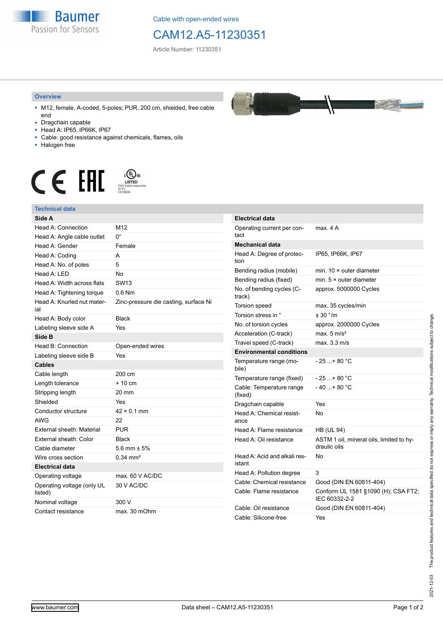

Cable with open-ended wires

## CAM12.A5-11230351

Article Number: 11230351

## **Overview**

- M12, female, A-coded, 5-poles; PUR, 200 cm, shielded, free cable end
- Dragchain capable
- Head A: IP65, IP66K, IP67
- Cable: good resistance against chemicals, flames, oils
- Halogen free



## **Technical data**

| Side A                                |                                       | E            |
|---------------------------------------|---------------------------------------|--------------|
| Head A: Connection                    | M12                                   | C            |
| Head A: Angle cable outlet            | $0^{\circ}$                           | t            |
| Head A: Gender                        | Female                                | $\mathbf{N}$ |
| Head A: Coding                        | А                                     | H            |
| Head A: No. of poles                  | 5                                     | ti           |
| Head A: LED                           | <b>No</b>                             | E            |
| Head A: Width across flats            | <b>SW13</b>                           | E            |
| Head A: Tightening torque             | $0.6$ Nm                              | N<br>tı      |
| Head A: Knurled nut mater-<br>ial     | Zinc-pressure die casting, surface Ni | T            |
| Head A: Body color                    | <b>Black</b>                          | ı            |
| Labeling sleeve side A                | Yes                                   | N            |
| Side B                                |                                       | F            |
| Head B: Connection                    | Open-ended wires                      | T            |
| Labeling sleeve side B                | Yes                                   | E            |
| <b>Cables</b>                         |                                       | Ţ<br>b       |
| Cable length                          | 200 cm                                | T            |
| Length tolerance                      | $+10cm$                               | $\mathsf{C}$ |
| Stripping length                      | 20 mm                                 | (            |
| Shielded                              | Yes                                   | D            |
| Conductor structure                   | $42 \times 0.1$ mm                    | ŀ            |
| <b>AWG</b>                            | 22                                    | a            |
| External sheath: Material             | <b>PUR</b>                            | ŀ            |
| External sheath: Color                | <b>Black</b>                          | ŀ            |
| Cable diameter                        | 5.6 mm $\pm$ 5%                       |              |
| Wire cross section                    | $0.34$ mm <sup>2</sup>                | ŀ            |
| <b>Electrical data</b>                |                                       | i.           |
| Operating voltage                     | max. 60 V AC/DC                       | ŀ            |
| Operating voltage (only UL<br>listed) | 30 V AC/DC                            | C<br>C       |
| Nominal voltage                       | 300 V                                 |              |
| Contact resistance                    | max. 30 mOhm                          | C<br>C       |



| <b>Electrical data</b>                 |                                                          |
|----------------------------------------|----------------------------------------------------------|
| Operating current per con-<br>tact     | max. 4 A                                                 |
| Mechanical data                        |                                                          |
| Head A: Degree of protec-<br>tion      | IP65, IP66K, IP67                                        |
| Bending radius (mobile)                | min. $10 \times$ outer diameter                          |
| Bending radius (fixed)                 | min. $5 \times$ outer diameter                           |
| No. of bending cycles (C-<br>track)    | approx. 5000000 Cycles                                   |
| Torsion speed                          | max. 35 cycles/min                                       |
| Torsion stress in °                    | ± 30 °/m                                                 |
| No. of torsion cycles                  | approx. 2000000 Cycles                                   |
| Acceleration (C-track)                 | max. $5 \text{ m/s}^2$                                   |
| Travel speed (C-track)                 | max. 3.3 m/s                                             |
| <b>Environmental conditions</b>        |                                                          |
| Temperature range (mo-<br>bile)        | - 25 + 80 °C                                             |
| Temperature range (fixed)              | - 25 +80 °C                                              |
| Cable: Temperature range<br>(fixed)    | - 40 + 80 °C                                             |
| Dragchain capable                      | Yes                                                      |
| Head A: Chemical resist-<br>ance       | N٥                                                       |
| Head A: Flame resistance               | <b>HB (UL 94)</b>                                        |
| Head A: Oil resistance                 | ASTM 1 oil, mineral oils, limited to hy-<br>draulic oils |
| Head A: Acid and alkali res-<br>istant | No                                                       |
| Head A: Pollution degree               | 3                                                        |
| Cable: Chemical resistance             | Good (DIN EN 60811-404)                                  |
| Cable: Flame resistance                | Conform UL 1581 §1090 (H); CSA FT2;<br>IEC 60332-2-2     |
| Cable: Oil resistance                  | Good (DIN EN 60811-404)                                  |
| Cable: Silicone-free                   | Yes                                                      |